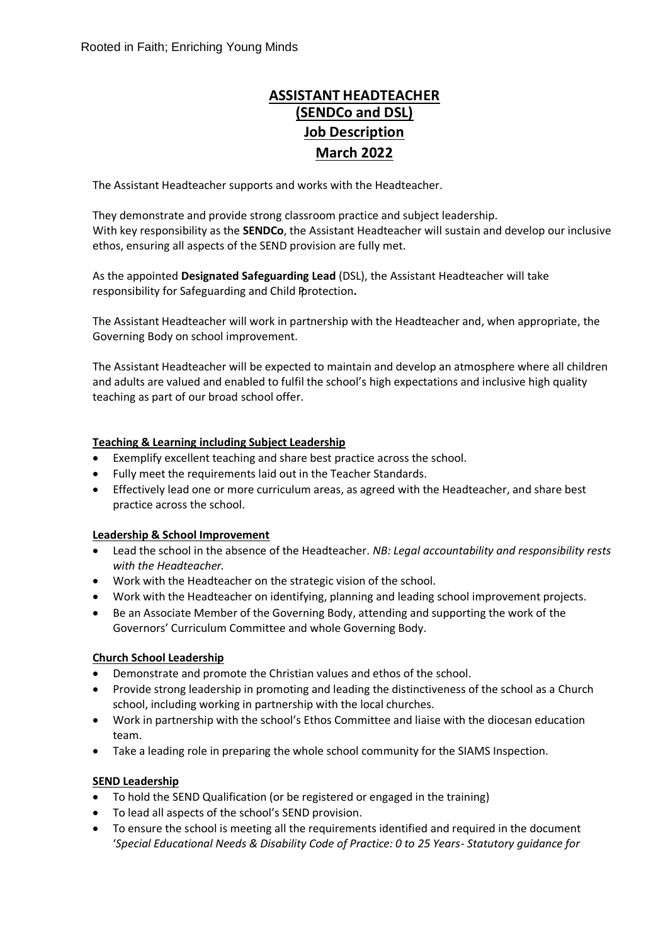# **ASSISTANT HEADTEACHER (SENDCo and DSL) Job Description March 2022**

The Assistant Headteacher supports and works with the Headteacher.

They demonstrate and provide strong classroom practice and subject leadership. With key responsibility as the **SENDCo**, the Assistant Headteacher will sustain and develop our inclusive ethos, ensuring all aspects of the SEND provision are fully met.

As the appointed **Designated Safeguarding Lead** (DSL), the Assistant Headteacher will take responsibility for Safeguarding and Child Protection.

The Assistant Headteacher will work in partnership with the Headteacher and, when appropriate, the Governing Body on school improvement.

The Assistant Headteacher will be expected to maintain and develop an atmosphere where all children and adults are valued and enabled to fulfil the school's high expectations and inclusive high quality teaching as part of our broad school offer.

### **Teaching & Learning including Subject Leadership**

- Exemplify excellent teaching and share best practice across the school.
- Fully meet the requirements laid out in the Teacher Standards.
- Effectively lead one or more curriculum areas, as agreed with the Headteacher, and share best practice across the school.

### **Leadership & School Improvement**

- Lead the school in the absence of the Headteacher. *NB: Legal accountability and responsibility rests with the Headteacher.*
- Work with the Headteacher on the strategic vision of the school.
- Work with the Headteacher on identifying, planning and leading school improvement projects.
- Be an Associate Member of the Governing Body, attending and supporting the work of the Governors' Curriculum Committee and whole Governing Body.

### **Church School Leadership**

- Demonstrate and promote the Christian values and ethos of the school.
- Provide strong leadership in promoting and leading the distinctiveness of the school as a Church school, including working in partnership with the local churches.
- Work in partnership with the school's Ethos Committee and liaise with the diocesan education team.
- Take a leading role in preparing the whole school community for the SIAMS Inspection.

### **SEND Leadership**

- To hold the SEND Qualification (or be registered or engaged in the training)
- To lead all aspects of the school's SEND provision.
- To ensure the school is meeting all the requirements identified and required in the document '*Special Educational Needs & Disability Code of Practice: 0 to 25 Years- Statutory guidance for*